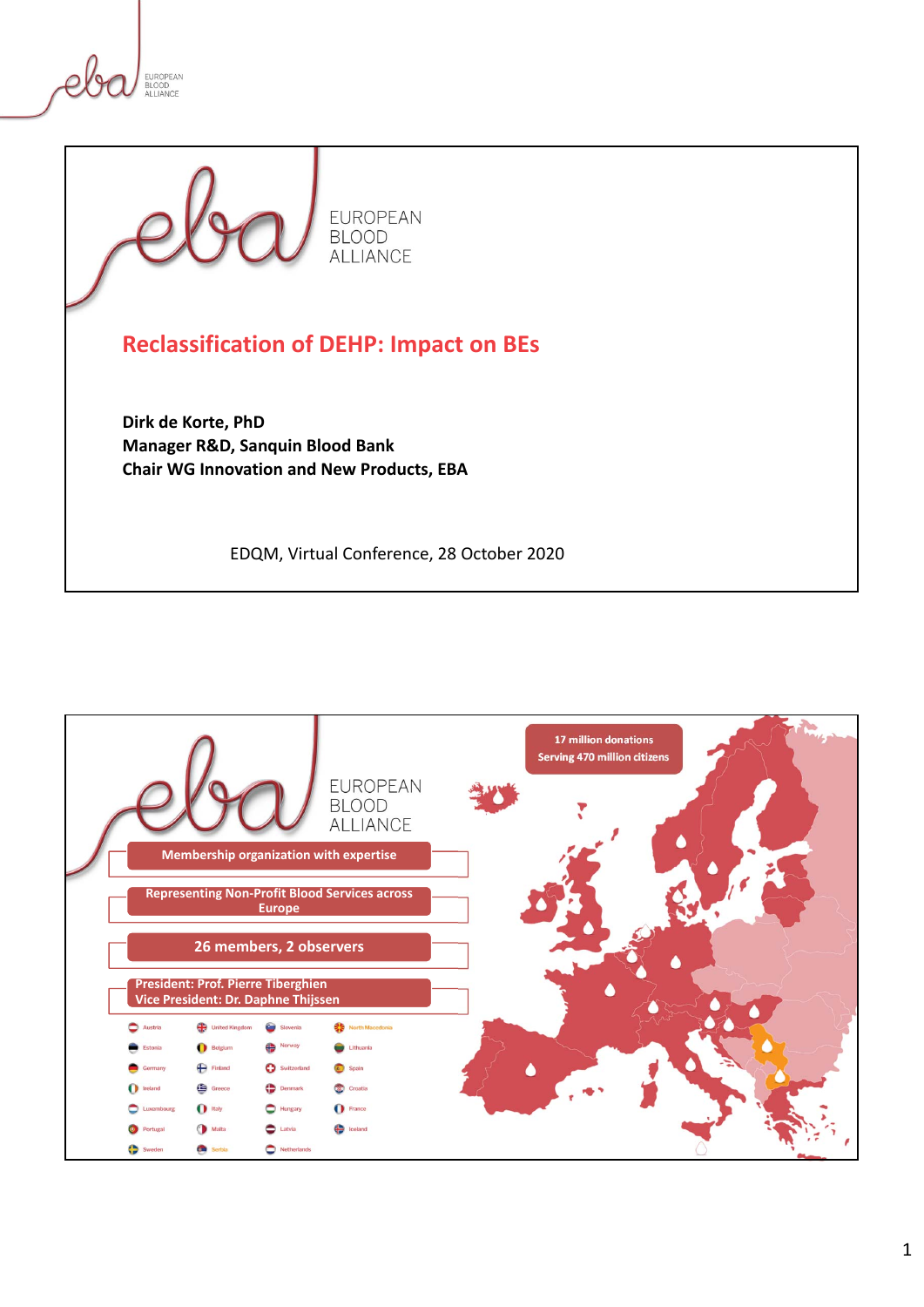



**Dirk de Korte, PhD Manager R&D, Sanquin Blood Bank Chair WG Innovation and New Products, EBA**

EDQM, Virtual Conference, 28 October 2020

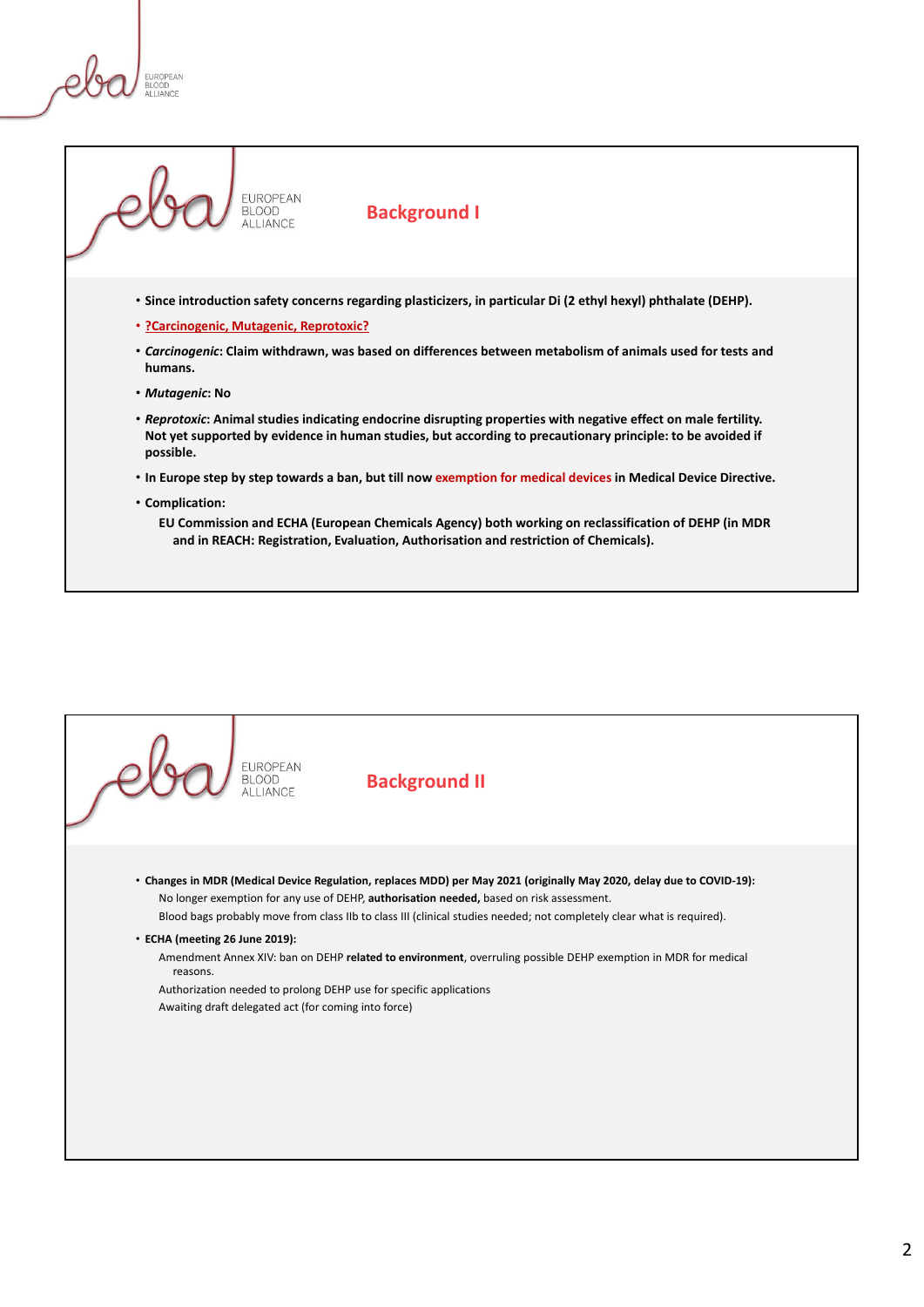**FUROPEAN** ALL JANCE

**Background I**

- **Since introduction safety concerns regarding plasticizers, in particular Di (2 ethyl hexyl) phthalate (DEHP).**
- **?Carcinogenic, Mutagenic, Reprotoxic?**

EUROPEAN **BLOOD** ALLIANCE

- *Carcinogenic***: Claim withdrawn, was based on differences between metabolism of animals used for tests and humans.**
- *Mutagenic***: No**
- *Reprotoxic***: Animal studies indicating endocrine disrupting properties with negative effect on male fertility. Not yet supported by evidence in human studies, but according to precautionary principle: to be avoided if possible.**
- **In Europe step by step towards a ban, but till now exemption for medical devices in Medical Device Directive.**
- **Complication:**

**EU Commission and ECHA (European Chemicals Agency) both working on reclassification of DEHP (in MDR and in REACH: Registration, Evaluation, Authorisation and restriction of Chemicals).**

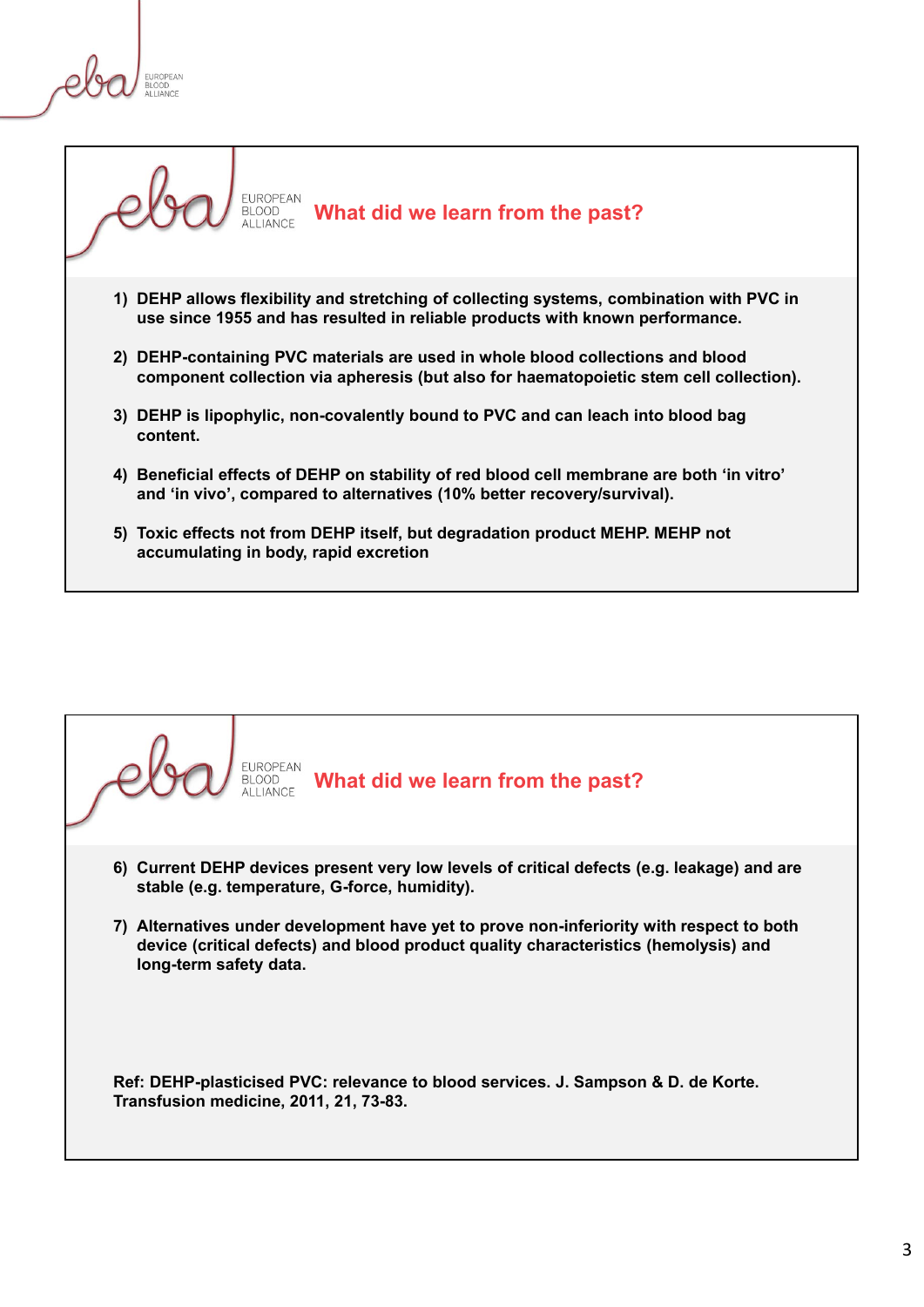**FUROPEAN DLUUD**<br>ALLIANCE



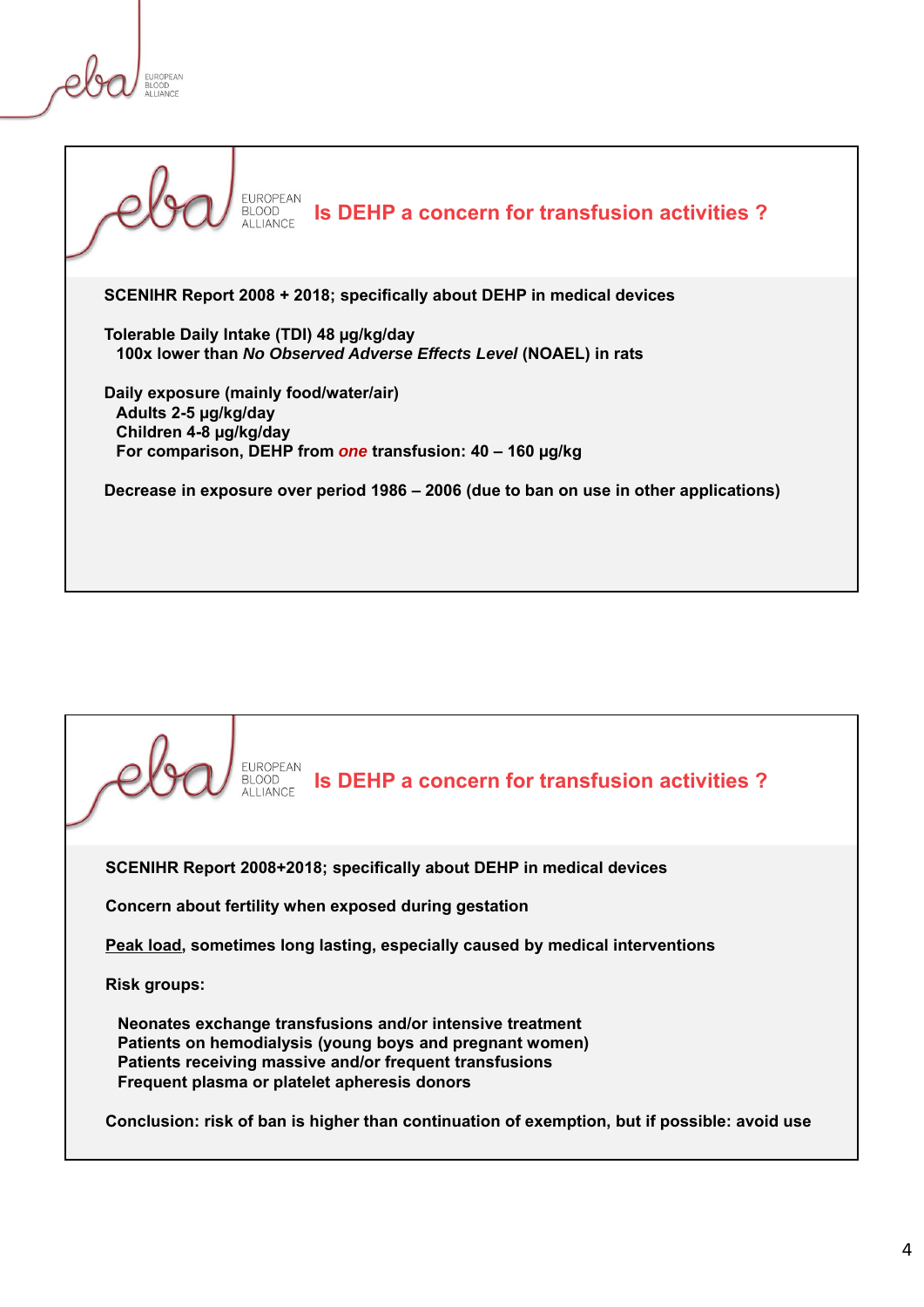**FUROPEAN BLUUD**<br>ALLIANCE



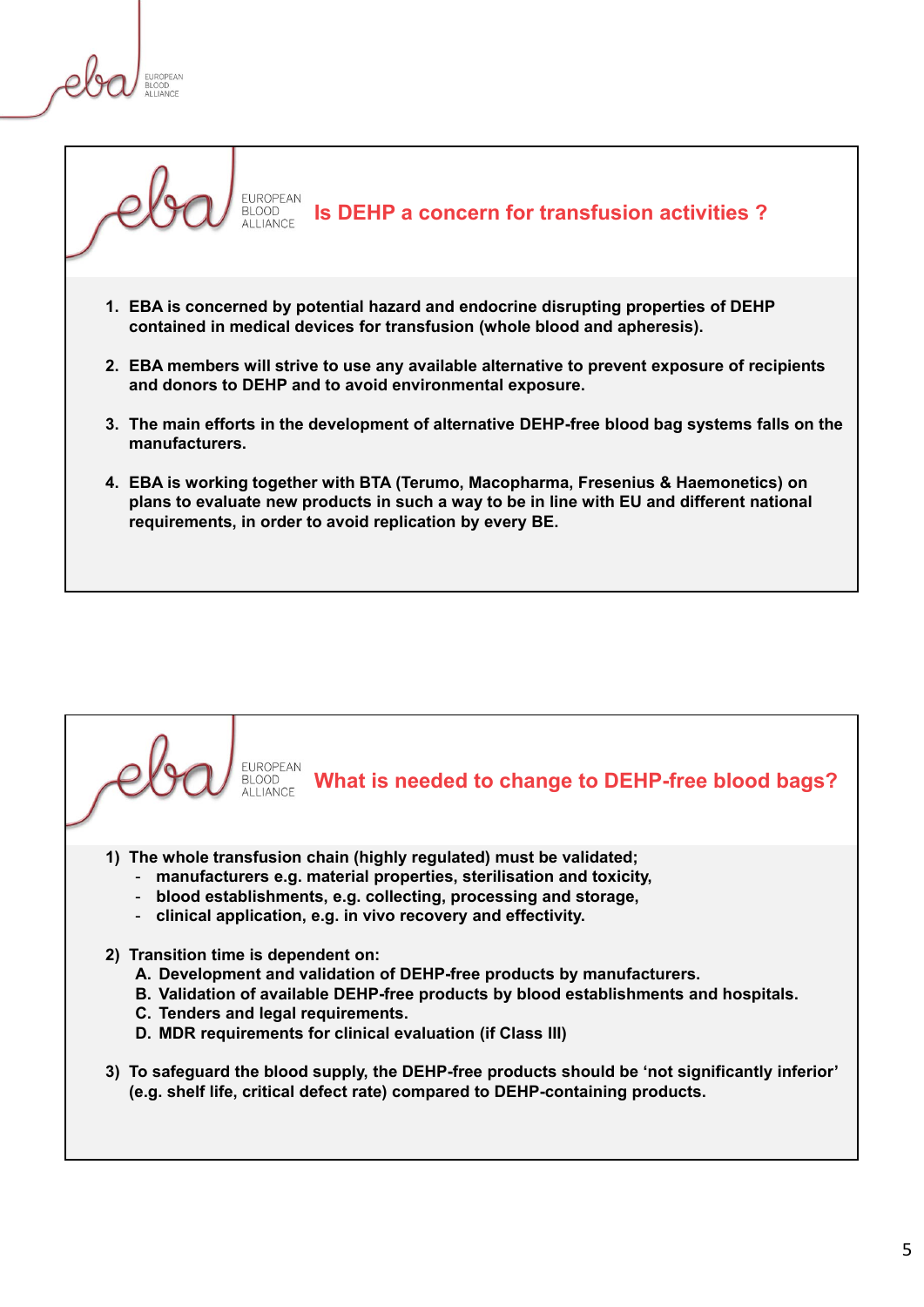**FUROPEAN DLUUD**<br>ALLIANCE



- **3. The main efforts in the development of alternative DEHP-free blood bag systems falls on the manufacturers.**
- **4. EBA is working together with BTA (Terumo, Macopharma, Fresenius & Haemonetics) on plans to evaluate new products in such a way to be in line with EU and different national requirements, in order to avoid replication by every BE.**

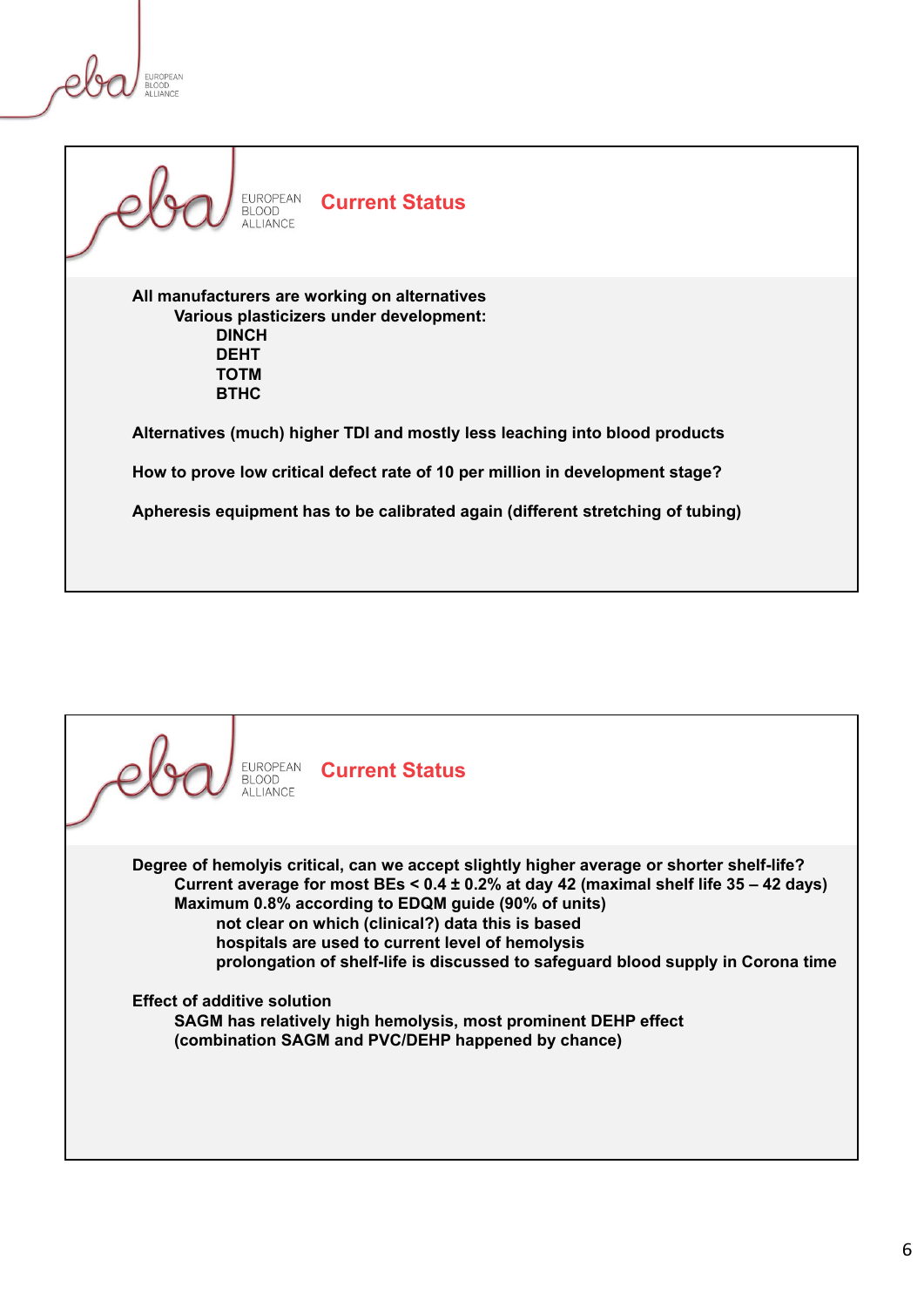**FUROPEAN BLOOD**<br>ALLIANCE



## **Current Status**

**All manufacturers are working on alternatives Various plasticizers under development: DINCH DEHT TOTM BTHC**

**Alternatives (much) higher TDI and mostly less leaching into blood products**

**How to prove low critical defect rate of 10 per million in development stage?**

**Apheresis equipment has to be calibrated again (different stretching of tubing)**

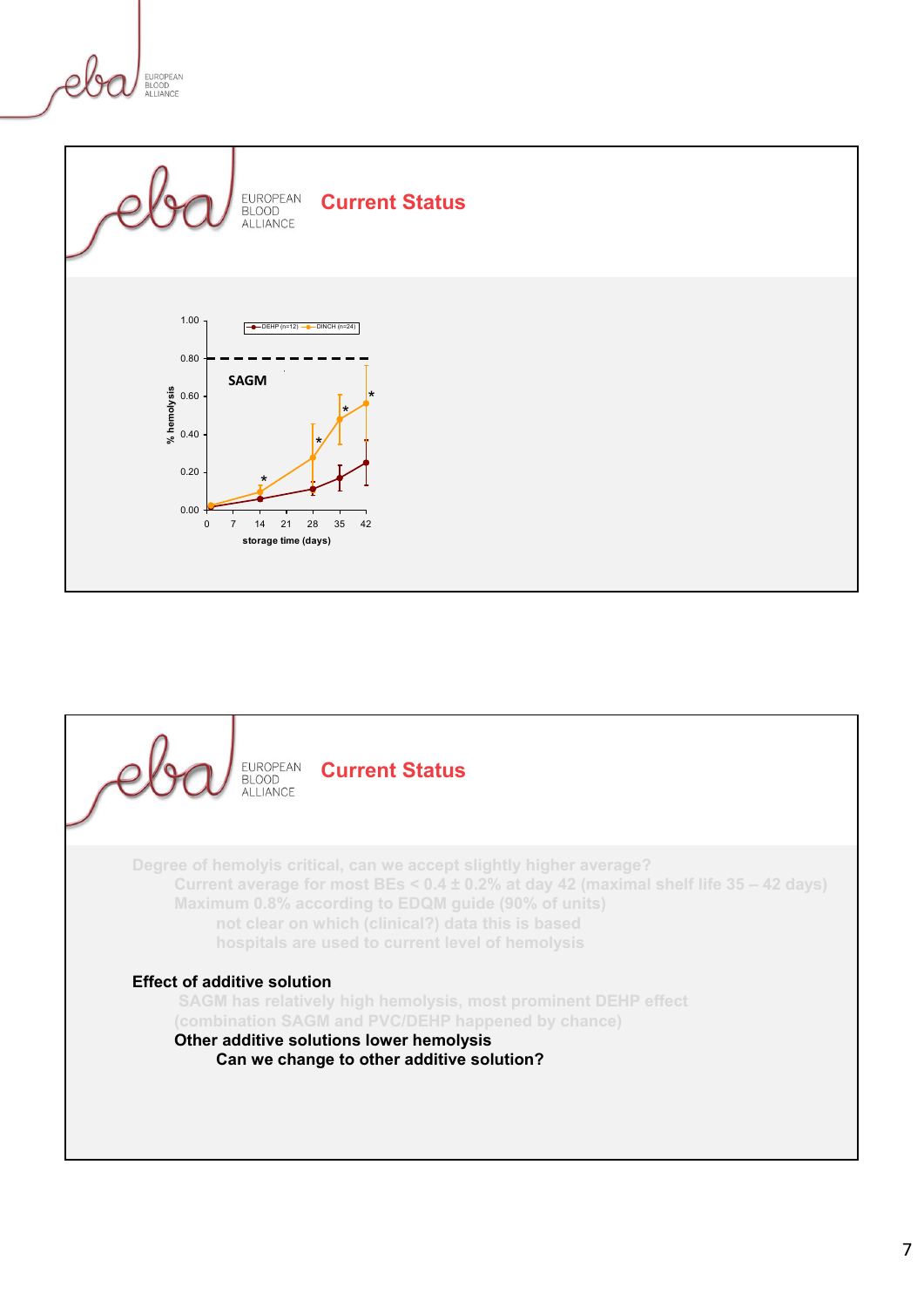EUROPEAN BLOOD<br>ALLIANCE



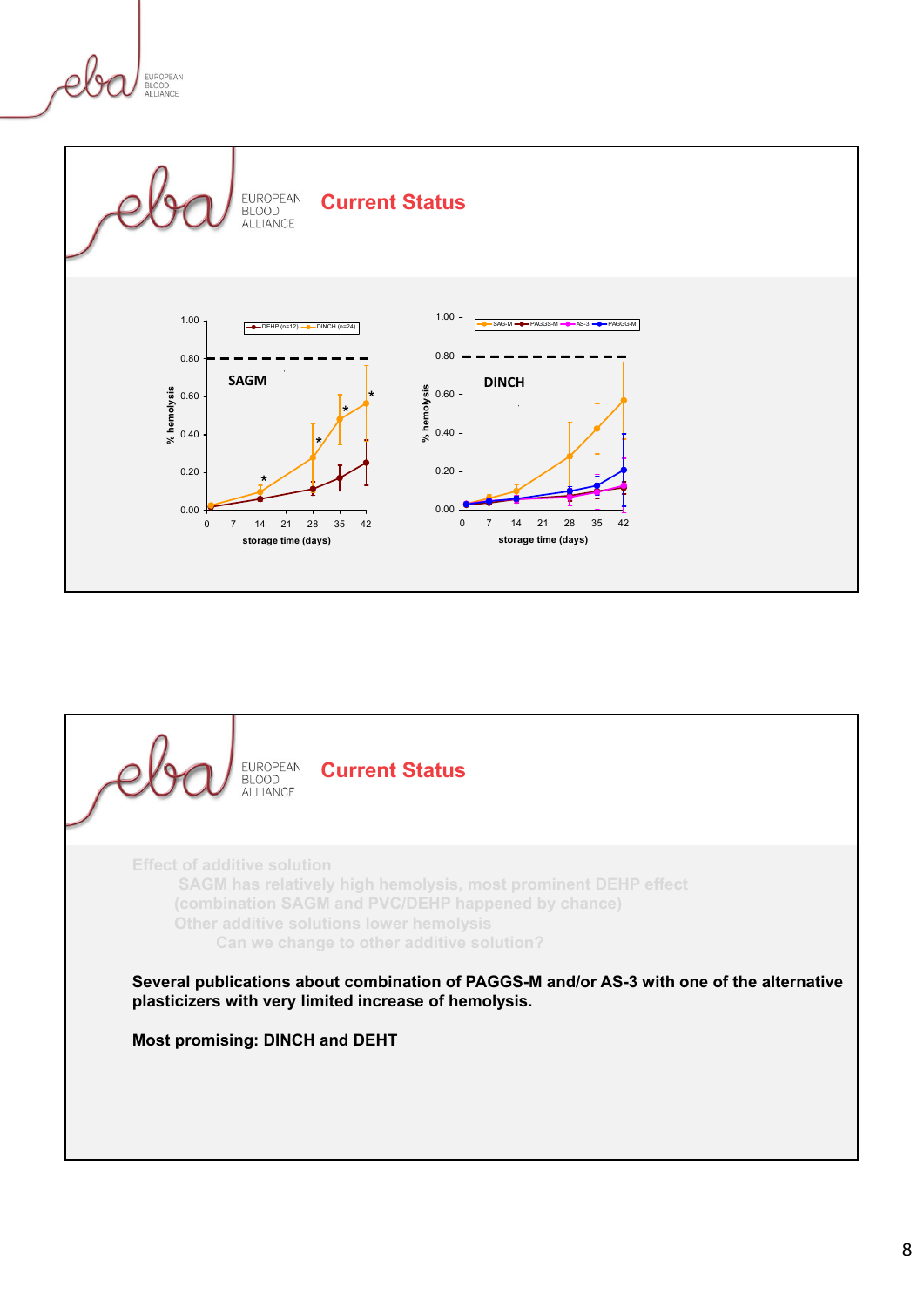EUROPEAN BLOOD<br>ALLIANCE



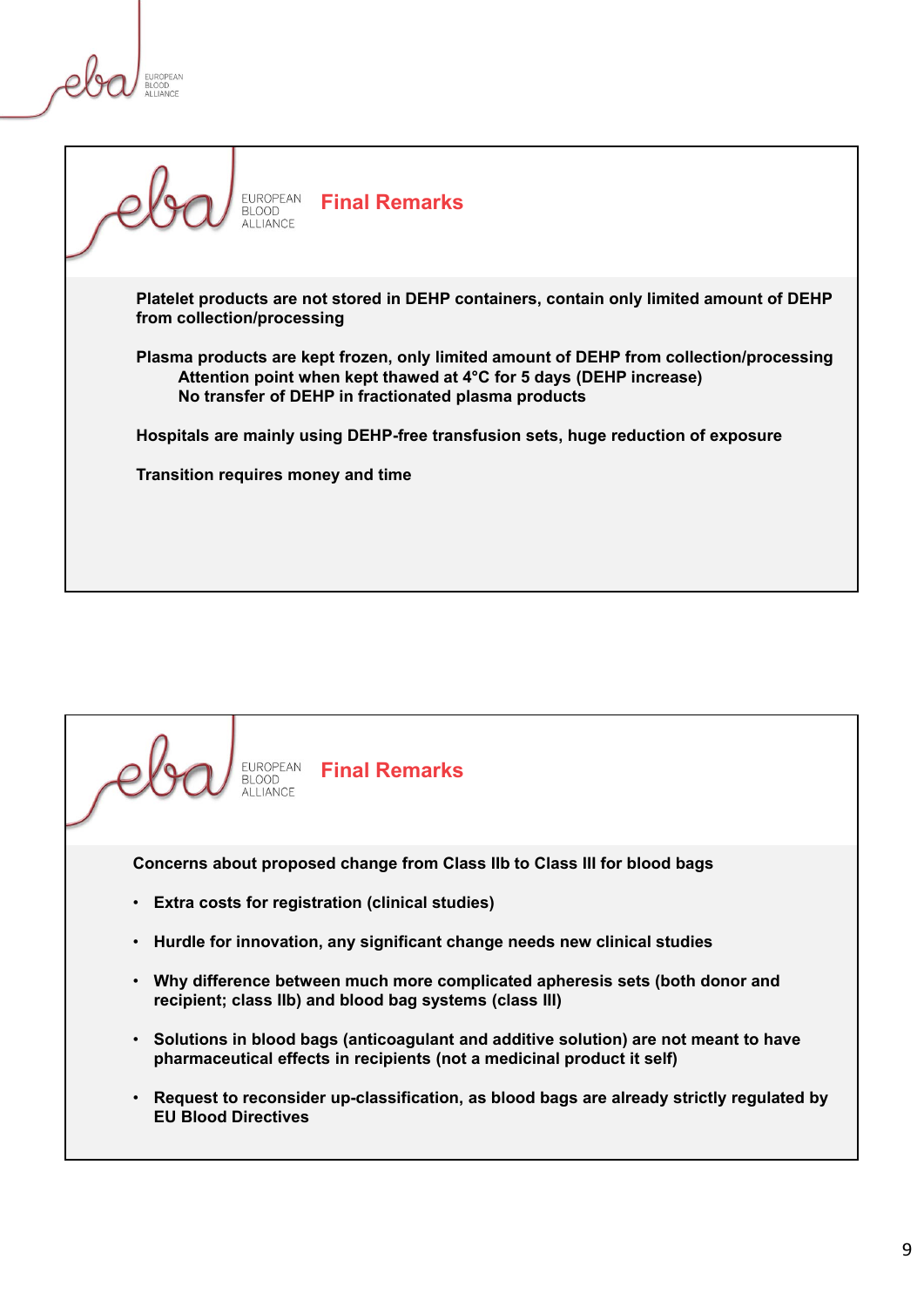**FUROPEAN DLUUD**<br>ALLIANCE